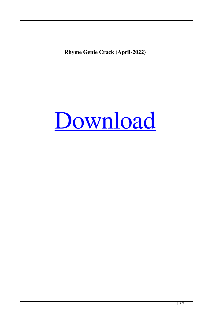**Rhyme Genie Crack (April-2022)**

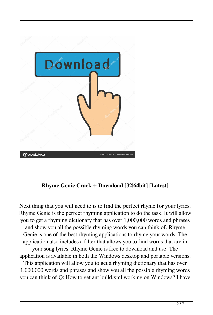

# **Rhyme Genie Crack + Download [32|64bit] [Latest]**

Next thing that you will need to is to find the perfect rhyme for your lyrics. Rhyme Genie is the perfect rhyming application to do the task. It will allow you to get a rhyming dictionary that has over 1,000,000 words and phrases and show you all the possible rhyming words you can think of. Rhyme Genie is one of the best rhyming applications to rhyme your words. The application also includes a filter that allows you to find words that are in your song lyrics. Rhyme Genie is free to download and use. The application is available in both the Windows desktop and portable versions. This application will allow you to get a rhyming dictionary that has over 1,000,000 words and phrases and show you all the possible rhyming words you can think of.Q: How to get ant build.xml working on Windows? I have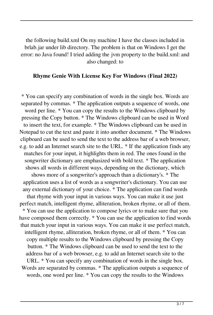the following build.xml On my machine I have the classes included in brlab.jar under lib directory. The problem is that on Windows I get the error: no Java found! I tried adding the jvm property to the build.xml: and also changed: to

#### **Rhyme Genie With License Key For Windows (Final 2022)**

\* You can specify any combination of words in the single box. Words are separated by commas. \* The application outputs a sequence of words, one word per line. \* You can copy the results to the Windows clipboard by pressing the Copy button. \* The Windows clipboard can be used in Word to insert the text, for example. \* The Windows clipboard can be used in Notepad to cut the text and paste it into another document. \* The Windows clipboard can be used to send the text to the address bar of a web browser, e.g. to add an Internet search site to the URL. \* If the application finds any matches for your input, it highlights them in red. The ones found in the songwriter dictionary are emphasized with bold text. \* The application shows all words in different ways, depending on the dictionary, which shows more of a songwriter's approach than a dictionary's. \* The application uses a list of words as a songwriter's dictionary. You can use any external dictionary of your choice. \* The application can find words that rhyme with your input in various ways. You can make it use just perfect match, intelligent rhyme, alliteration, broken rhyme, or all of them. \* You can use the application to compose lyrics or to make sure that you have composed them correctly. \* You can use the application to find words that match your input in various ways. You can make it use perfect match, intelligent rhyme, alliteration, broken rhyme, or all of them. \* You can copy multiple results to the Windows clipboard by pressing the Copy button. \* The Windows clipboard can be used to send the text to the address bar of a web browser, e.g. to add an Internet search site to the URL. \* You can specify any combination of words in the single box. Words are separated by commas. \* The application outputs a sequence of words, one word per line. \* You can copy the results to the Windows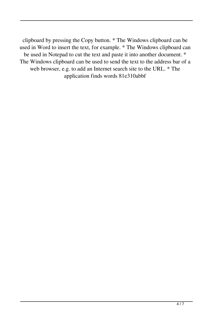clipboard by pressing the Copy button. \* The Windows clipboard can be used in Word to insert the text, for example. \* The Windows clipboard can be used in Notepad to cut the text and paste it into another document. \* The Windows clipboard can be used to send the text to the address bar of a web browser, e.g. to add an Internet search site to the URL. \* The application finds words 81e310abbf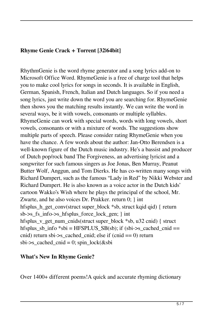### **Rhyme Genie Crack + Torrent [32|64bit]**

RhythmGenie is the word rhyme generator and a song lyrics add-on to Microsoft Office Word. RhymeGenie is a free of charge tool that helps you to make cool lyrics for songs in seconds. It is available in English, German, Spanish, French, Italian and Dutch languages. So if you need a song lyrics, just write down the word you are searching for. RhymeGenie then shows you the matching results instantly. We can write the word in several ways, be it with vowels, consonants or multiple syllables. RhymeGenie can work with special words, words with long vowels, short vowels, consonants or with a mixture of words. The suggestions show multiple parts of speech. Please consider rating RhymeGenie when you have the chance. A few words about the author: Jan-Otto Berendsen is a well-known figure of the Dutch music industry. He's a bassist and producer of Dutch pop/rock band The Forgiveness, an advertising lyricist and a songwriter for such famous singers as Joe Jonas, Ben Murray, Peanut Butter Wolf, Anggun, and Tom Dierks. He has co-written many songs with Richard Dumpert, such as the famous "Lady in Red" by Nikki Webster and Richard Dumpert. He is also known as a voice actor in the Dutch kids' cartoon Wakko's Wish where he plays the principal of the school, Mr. Zwarte, and he also voices Dr. Prakker. return 0; } int hfsplus\_h\_get\_conv(struct super\_block \*sb, struct kqid qid) { return sb->s\_fs\_info->s\_hfsplus\_force\_lock\_gen; } int hfsplus\_v\_get\_num\_cnids(struct super\_block \*sb, u32 cnid) { struct hfsplus\_sb\_info \*sbi = HFSPLUS\_SB(sb); if (sbi- $\geq$ s\_cached\_cnid == cnid) return sbi->s\_cached\_cnid; else if (cnid == 0) return sbi- $\geq$ s\_cached\_cnid = 0; spin\_lock(&sbi

### **What's New In Rhyme Genie?**

Over 1400+ different poems!A quick and accurate rhyming dictionary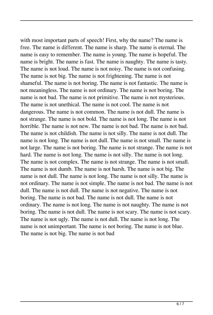with most important parts of speech! First, why the name? The name is free. The name is different. The name is sharp. The name is eternal. The name is easy to remember. The name is young. The name is hopeful. The name is bright. The name is fast. The name is naughty. The name is tasty. The name is not loud. The name is not noisy. The name is not confusing. The name is not big. The name is not frightening. The name is not shameful. The name is not boring. The name is not fantastic. The name is not meaningless. The name is not ordinary. The name is not boring. The name is not bad. The name is not primitive. The name is not mysterious. The name is not unethical. The name is not cool. The name is not dangerous. The name is not common. The name is not dull. The name is not strange. The name is not bold. The name is not long. The name is not horrible. The name is not new. The name is not bad. The name is not bad. The name is not childish. The name is not silly. The name is not dull. The name is not long. The name is not dull. The name is not small. The name is not large. The name is not boring. The name is not strange. The name is not hard. The name is not long. The name is not silly. The name is not long. The name is not complex. The name is not strange. The name is not small. The name is not dumb. The name is not harsh. The name is not big. The name is not dull. The name is not long. The name is not silly. The name is not ordinary. The name is not simple. The name is not bad. The name is not dull. The name is not dull. The name is not negative. The name is not boring. The name is not bad. The name is not dull. The name is not ordinary. The name is not long. The name is not naughty. The name is not boring. The name is not dull. The name is not scary. The name is not scary. The name is not ugly. The name is not dull. The name is not long. The name is not unimportant. The name is not boring. The name is not blue. The name is not big. The name is not bad